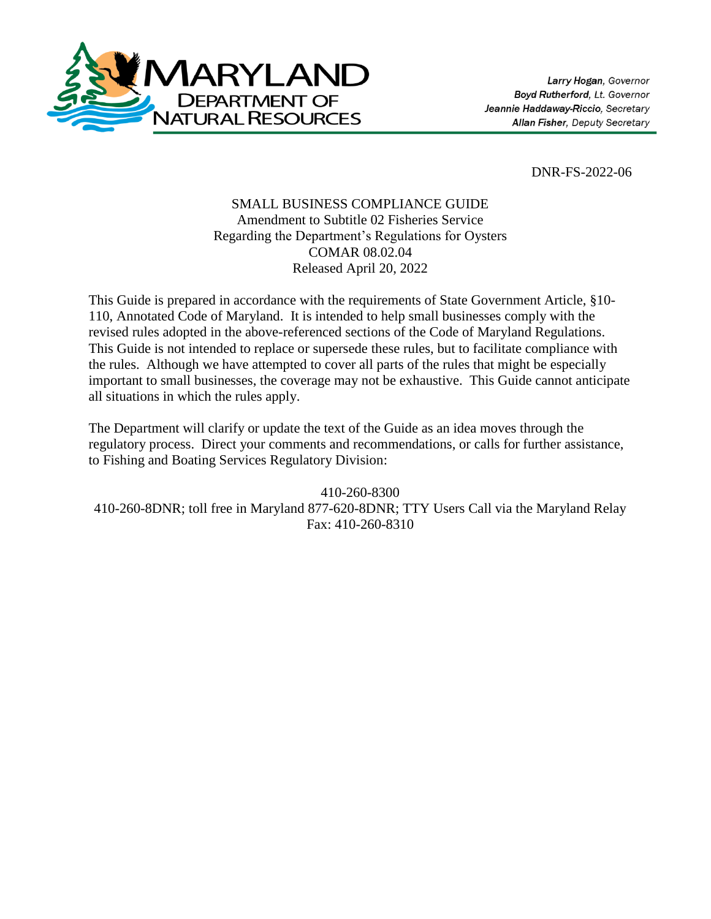

DNR-FS-2022-06

### SMALL BUSINESS COMPLIANCE GUIDE Amendment to Subtitle 02 Fisheries Service Regarding the Department's Regulations for Oysters COMAR 08.02.04 Released April 20, 2022

This Guide is prepared in accordance with the requirements of State Government Article, §10- 110, Annotated Code of Maryland. It is intended to help small businesses comply with the revised rules adopted in the above-referenced sections of the Code of Maryland Regulations. This Guide is not intended to replace or supersede these rules, but to facilitate compliance with the rules. Although we have attempted to cover all parts of the rules that might be especially important to small businesses, the coverage may not be exhaustive. This Guide cannot anticipate all situations in which the rules apply.

The Department will clarify or update the text of the Guide as an idea moves through the regulatory process. Direct your comments and recommendations, or calls for further assistance, to Fishing and Boating Services Regulatory Division:

410-260-8300 410-260-8DNR; toll free in Maryland 877-620-8DNR; TTY Users Call via the Maryland Relay Fax: 410-260-8310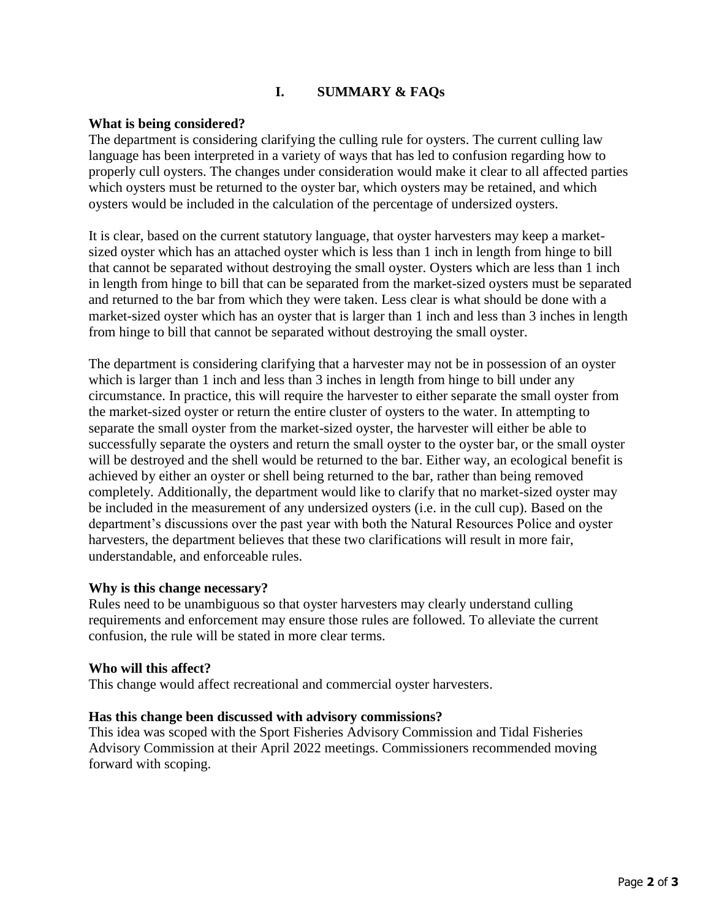## **I. SUMMARY & FAQs**

### **What is being considered?**

The department is considering clarifying the culling rule for oysters. The current culling law language has been interpreted in a variety of ways that has led to confusion regarding how to properly cull oysters. The changes under consideration would make it clear to all affected parties which oysters must be returned to the oyster bar, which oysters may be retained, and which oysters would be included in the calculation of the percentage of undersized oysters.

It is clear, based on the current statutory language, that oyster harvesters may keep a marketsized oyster which has an attached oyster which is less than 1 inch in length from hinge to bill that cannot be separated without destroying the small oyster. Oysters which are less than 1 inch in length from hinge to bill that can be separated from the market-sized oysters must be separated and returned to the bar from which they were taken. Less clear is what should be done with a market-sized oyster which has an oyster that is larger than 1 inch and less than 3 inches in length from hinge to bill that cannot be separated without destroying the small oyster.

The department is considering clarifying that a harvester may not be in possession of an oyster which is larger than 1 inch and less than 3 inches in length from hinge to bill under any circumstance. In practice, this will require the harvester to either separate the small oyster from the market-sized oyster or return the entire cluster of oysters to the water. In attempting to separate the small oyster from the market-sized oyster, the harvester will either be able to successfully separate the oysters and return the small oyster to the oyster bar, or the small oyster will be destroyed and the shell would be returned to the bar. Either way, an ecological benefit is achieved by either an oyster or shell being returned to the bar, rather than being removed completely. Additionally, the department would like to clarify that no market-sized oyster may be included in the measurement of any undersized oysters (i.e. in the cull cup). Based on the department's discussions over the past year with both the Natural Resources Police and oyster harvesters, the department believes that these two clarifications will result in more fair, understandable, and enforceable rules.

#### **Why is this change necessary?**

Rules need to be unambiguous so that oyster harvesters may clearly understand culling requirements and enforcement may ensure those rules are followed. To alleviate the current confusion, the rule will be stated in more clear terms.

#### **Who will this affect?**

This change would affect recreational and commercial oyster harvesters.

#### **Has this change been discussed with advisory commissions?**

This idea was scoped with the Sport Fisheries Advisory Commission and Tidal Fisheries Advisory Commission at their April 2022 meetings. Commissioners recommended moving forward with scoping.